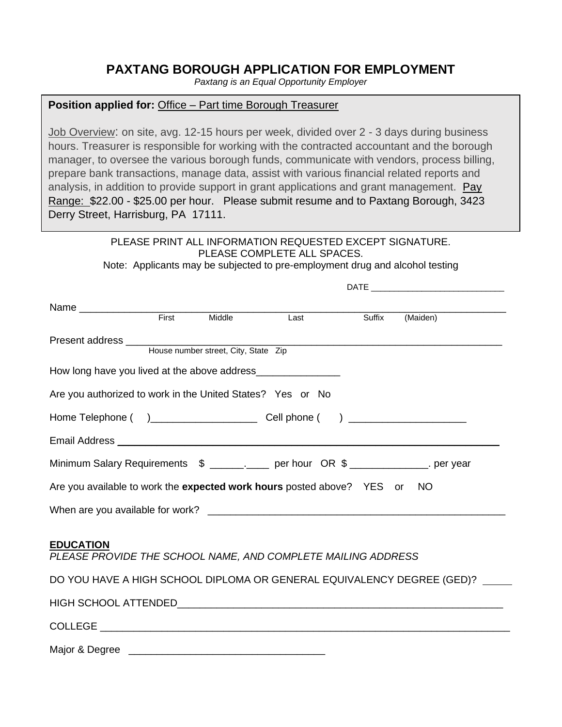# **PAXTANG BOROUGH APPLICATION FOR EMPLOYMENT**

*Paxtang is an Equal Opportunity Employer*

## **Position applied for:** Office – Part time Borough Treasurer

Job Overview: on site, avg. 12-15 hours per week, divided over 2 - 3 days during business hours. Treasurer is responsible for working with the contracted accountant and the borough manager, to oversee the various borough funds, communicate with vendors, process billing, prepare bank transactions, manage data, assist with various financial related reports and analysis, in addition to provide support in grant applications and grant management. Pay Range: \$22.00 - \$25.00 per hour. Please submit resume and to Paxtang Borough, 3423 Derry Street, Harrisburg, PA 17111.

> PLEASE PRINT ALL INFORMATION REQUESTED EXCEPT SIGNATURE. PLEASE COMPLETE ALL SPACES.

Note: Applicants may be subjected to pre-employment drug and alcohol testing

 $\mathcal{A} = \mathcal{A} = \mathcal{A}$ 

|                                                                                    | First | Middle | Last | Suffix | (Maiden)                                                                     |
|------------------------------------------------------------------------------------|-------|--------|------|--------|------------------------------------------------------------------------------|
|                                                                                    |       |        |      |        |                                                                              |
|                                                                                    |       |        |      |        |                                                                              |
| How long have you lived at the above address___________________                    |       |        |      |        |                                                                              |
| Are you authorized to work in the United States? Yes or No                         |       |        |      |        |                                                                              |
|                                                                                    |       |        |      |        |                                                                              |
|                                                                                    |       |        |      |        |                                                                              |
| Minimum Salary Requirements \$ __________ per hour OR \$ _______________. per year |       |        |      |        |                                                                              |
| Are you available to work the expected work hours posted above? YES or NO          |       |        |      |        |                                                                              |
|                                                                                    |       |        |      |        |                                                                              |
| <b>EDUCATION</b><br>PLEASE PROVIDE THE SCHOOL NAME, AND COMPLETE MAILING ADDRESS   |       |        |      |        |                                                                              |
|                                                                                    |       |        |      |        | DO YOU HAVE A HIGH SCHOOL DIPLOMA OR GENERAL EQUIVALENCY DEGREE (GED)? _____ |
|                                                                                    |       |        |      |        |                                                                              |
|                                                                                    |       |        |      |        |                                                                              |
| Major & Degree                                                                     |       |        |      |        |                                                                              |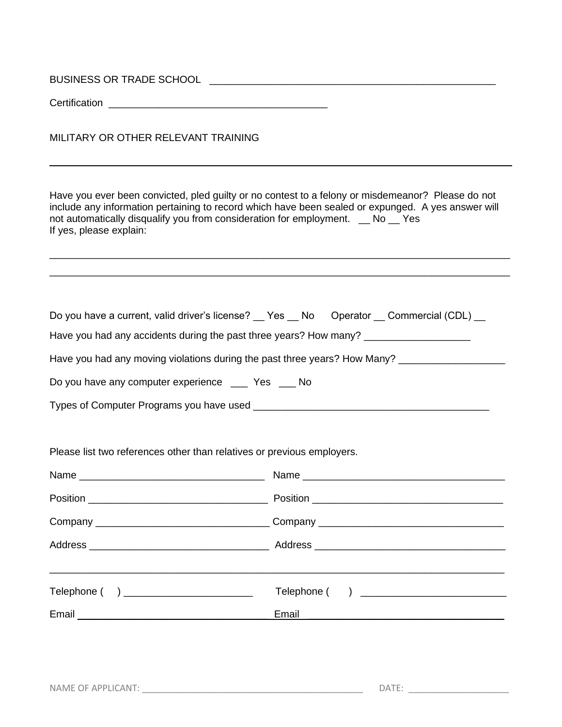| <b>BUSINESS OR TRADE SCHOOL</b> |  |
|---------------------------------|--|
|                                 |  |

Certification **Exercise 20** 

MILITARY OR OTHER RELEVANT TRAINING

Have you ever been convicted, pled guilty or no contest to a felony or misdemeanor? Please do not include any information pertaining to record which have been sealed or expunged. A yes answer will not automatically disqualify you from consideration for employment. \_ No \_ Yes If yes, please explain:

\_\_\_\_\_\_\_\_\_\_\_\_\_\_\_\_\_\_\_\_\_\_\_\_\_\_\_\_\_\_\_\_\_\_\_\_\_\_\_\_\_\_\_\_\_\_\_\_\_\_\_\_\_\_\_\_\_\_\_\_\_\_\_\_\_\_\_\_\_\_\_\_\_\_\_\_\_\_\_\_\_\_ \_\_\_\_\_\_\_\_\_\_\_\_\_\_\_\_\_\_\_\_\_\_\_\_\_\_\_\_\_\_\_\_\_\_\_\_\_\_\_\_\_\_\_\_\_\_\_\_\_\_\_\_\_\_\_\_\_\_\_\_\_\_\_\_\_\_\_\_\_\_\_\_\_\_\_\_\_\_\_\_\_\_

| Do you have a current, valid driver's license? __ Yes __ No Operator __ Commercial (CDL) __ |  |  |  |
|---------------------------------------------------------------------------------------------|--|--|--|
|                                                                                             |  |  |  |

Have you had any accidents during the past three years? How many? \_\_\_\_\_\_\_\_\_\_\_\_\_\_

Have you had any moving violations during the past three years? How Many? \_\_\_\_\_\_\_\_\_\_\_\_\_\_\_\_\_\_\_\_\_\_\_\_\_\_\_\_\_\_\_\_\_\_\_

Do you have any computer experience \_\_\_ Yes \_\_ No

Types of Computer Programs you have used \_\_\_\_\_\_\_\_\_\_\_\_\_\_\_\_\_\_\_\_\_\_\_\_\_\_\_\_\_\_\_\_\_\_\_\_\_\_\_\_\_\_

Please list two references other than relatives or previous employers.

| Name                                   |  |
|----------------------------------------|--|
|                                        |  |
|                                        |  |
|                                        |  |
| Telephone ( ) ________________________ |  |
|                                        |  |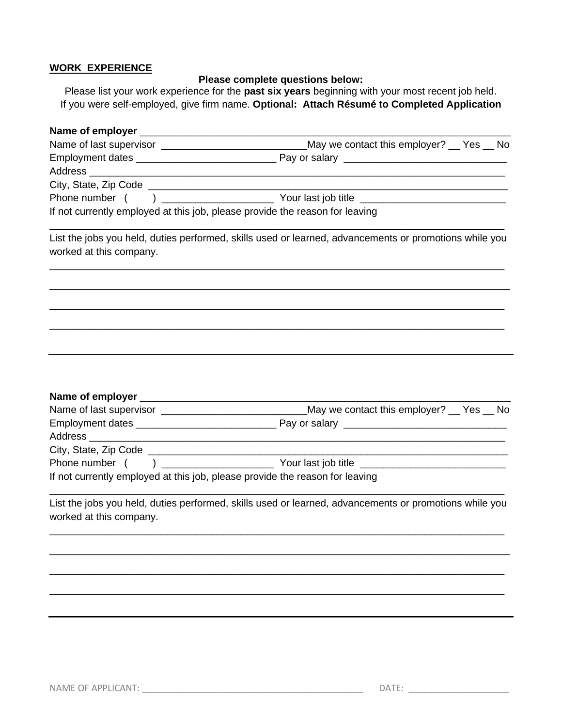### **WORK EXPERIENCE**

#### **Please complete questions below:**

Please list your work experience for the **past six years** beginning with your most recent job held. If you were self-employed, give firm name. **Optional: Attach Résumé to Completed Application**

| If not currently employed at this job, please provide the reason for leaving |                                                                                                        |  |  |  |  |  |
|------------------------------------------------------------------------------|--------------------------------------------------------------------------------------------------------|--|--|--|--|--|
| worked at this company.                                                      | List the jobs you held, duties performed, skills used or learned, advancements or promotions while you |  |  |  |  |  |
|                                                                              |                                                                                                        |  |  |  |  |  |
|                                                                              |                                                                                                        |  |  |  |  |  |
|                                                                              |                                                                                                        |  |  |  |  |  |
|                                                                              |                                                                                                        |  |  |  |  |  |
|                                                                              |                                                                                                        |  |  |  |  |  |
| If not currently employed at this job, please provide the reason for leaving |                                                                                                        |  |  |  |  |  |
| worked at this company.                                                      | List the jobs you held, duties performed, skills used or learned, advancements or promotions while you |  |  |  |  |  |
|                                                                              |                                                                                                        |  |  |  |  |  |
|                                                                              |                                                                                                        |  |  |  |  |  |
|                                                                              |                                                                                                        |  |  |  |  |  |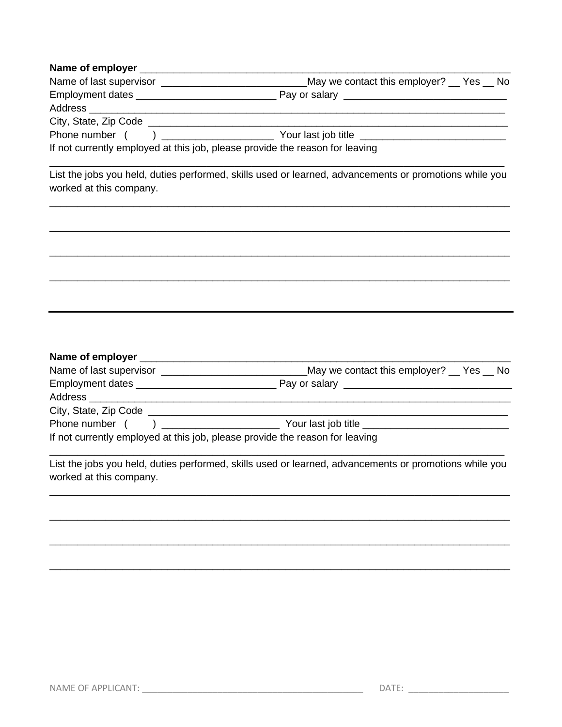#### 

| Name of last supervisor               | May we contact this employer? __ Yes __ No                                   |
|---------------------------------------|------------------------------------------------------------------------------|
|                                       |                                                                              |
| Address _____________________         |                                                                              |
| City, State, Zip Code _______________ |                                                                              |
| Phone number (                        |                                                                              |
|                                       | If not currently employed at this job, please provide the reason for leaving |

List the jobs you held, duties performed, skills used or learned, advancements or promotions while you worked at this company.

|                                        |  | May we contact this employer? __ Yes __ No                                   |
|----------------------------------------|--|------------------------------------------------------------------------------|
|                                        |  |                                                                              |
|                                        |  |                                                                              |
| City, State, Zip Code ________________ |  |                                                                              |
| Phone number (                         |  | $\begin{array}{c} \end{array}$<br>Your last job title _____________          |
|                                        |  | If not currently employed at this job, please provide the reason for leaving |

List the jobs you held, duties performed, skills used or learned, advancements or promotions while you worked at this company.